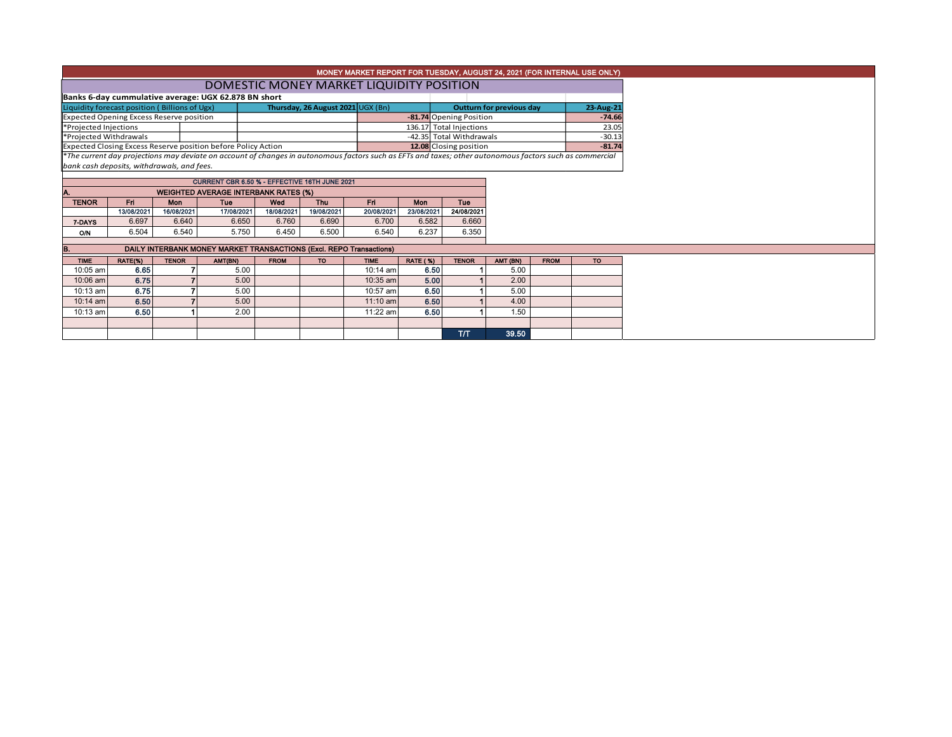| MONEY MARKET REPORT FOR TUESDAY, AUGUST 24, 2021 (FOR INTERNAL USE ONLY) |                                                                                               |              |                                                               |             |            |                                                                                                                                                          |                          |                          |                  |             |           |  |  |  |
|--------------------------------------------------------------------------|-----------------------------------------------------------------------------------------------|--------------|---------------------------------------------------------------|-------------|------------|----------------------------------------------------------------------------------------------------------------------------------------------------------|--------------------------|--------------------------|------------------|-------------|-----------|--|--|--|
|                                                                          | DOMESTIC MONEY MARKET LIQUIDITY POSITION                                                      |              |                                                               |             |            |                                                                                                                                                          |                          |                          |                  |             |           |  |  |  |
|                                                                          | Banks 6-day cummulative average: UGX 62.878 BN short                                          |              |                                                               |             |            |                                                                                                                                                          |                          |                          |                  |             |           |  |  |  |
|                                                                          | Liquidity forecast position (Billions of Ugx)                                                 |              | Outturn for previous day<br>23-Aug-21                         |             |            |                                                                                                                                                          |                          |                          |                  |             |           |  |  |  |
| <b>Expected Opening Excess Reserve position</b>                          |                                                                                               |              |                                                               |             |            |                                                                                                                                                          |                          | -81.74 Opening Position  | $-74.66$         |             |           |  |  |  |
| *Projected Injections                                                    |                                                                                               |              |                                                               |             |            |                                                                                                                                                          |                          | 136.17 Total Injections  | 23.05            |             |           |  |  |  |
| *Projected Withdrawals                                                   |                                                                                               |              |                                                               |             |            |                                                                                                                                                          |                          | -42.35 Total Withdrawals | $-30.13$         |             |           |  |  |  |
|                                                                          |                                                                                               |              | Expected Closing Excess Reserve position before Policy Action |             |            |                                                                                                                                                          |                          | 12.08 Closing position   |                  |             | $-81.74$  |  |  |  |
|                                                                          |                                                                                               |              |                                                               |             |            | *The current day projections may deviate on account of changes in autonomous factors such as EFTs and taxes; other autonomous factors such as commercial |                          |                          |                  |             |           |  |  |  |
|                                                                          | bank cash deposits, withdrawals, and fees.                                                    |              |                                                               |             |            |                                                                                                                                                          |                          |                          |                  |             |           |  |  |  |
|                                                                          |                                                                                               |              | CURRENT CBR 6.50 % - EFFECTIVE 16TH JUNE 2021                 |             |            |                                                                                                                                                          |                          |                          |                  |             |           |  |  |  |
|                                                                          |                                                                                               |              |                                                               |             |            |                                                                                                                                                          |                          |                          |                  |             |           |  |  |  |
| <b>TENOR</b>                                                             | <b>WEIGHTED AVERAGE INTERBANK RATES (%)</b><br>Fri<br>Fri.<br>Mon<br>Tue<br>Wed<br><b>Thu</b> |              |                                                               |             |            |                                                                                                                                                          |                          | <b>Tue</b>               |                  |             |           |  |  |  |
|                                                                          | 13/08/2021                                                                                    | 16/08/2021   | 17/08/2021                                                    | 18/08/2021  | 19/08/2021 | 20/08/2021                                                                                                                                               | <b>Mon</b><br>23/08/2021 | 24/08/2021               |                  |             |           |  |  |  |
| 7-DAYS                                                                   | 6.697                                                                                         | 6.640        | 6.650                                                         | 6.760       | 6.690      | 6.700                                                                                                                                                    | 6.582                    | 6.660                    |                  |             |           |  |  |  |
| <b>O/N</b>                                                               | 6.504                                                                                         | 6.540        | 5.750                                                         | 6.450       | 6.500      | 6.540                                                                                                                                                    | 6.237                    | 6.350                    |                  |             |           |  |  |  |
|                                                                          | DAILY INTERBANK MONEY MARKET TRANSACTIONS (Excl. REPO Transactions)                           |              |                                                               |             |            |                                                                                                                                                          |                          |                          |                  |             |           |  |  |  |
|                                                                          |                                                                                               |              |                                                               |             |            |                                                                                                                                                          |                          |                          |                  |             |           |  |  |  |
| <b>TIME</b><br>10:05 am                                                  | RATE(%)<br>6.65                                                                               | <b>TENOR</b> | AMT(BN)<br>5.00                                               | <b>FROM</b> | <b>TO</b>  | <b>TIME</b><br>10:14 am                                                                                                                                  | <b>RATE (%)</b><br>6.50  | <b>TENOR</b>             | AMT (BN)<br>5.00 | <b>FROM</b> | <b>TO</b> |  |  |  |
| 10:06 am                                                                 | 6.75                                                                                          |              | 5.00                                                          |             |            | 10:35 am                                                                                                                                                 | 5.00                     |                          | 2.00             |             |           |  |  |  |
|                                                                          |                                                                                               |              |                                                               |             |            |                                                                                                                                                          |                          |                          |                  |             |           |  |  |  |
| 10:13 am                                                                 | 6.75                                                                                          |              | 5.00                                                          |             |            | 10:57 am                                                                                                                                                 | 6.50                     |                          | 5.00             |             |           |  |  |  |
| 10:14 am                                                                 | 6.50                                                                                          |              | 5.00                                                          |             |            | $11:10$ am                                                                                                                                               | 6.50                     |                          | 4.00             |             |           |  |  |  |
| 10:13 am                                                                 | 6.50                                                                                          |              | 2.00                                                          |             |            | 11:22 am                                                                                                                                                 | 6.50                     |                          | 1.50             |             |           |  |  |  |
|                                                                          |                                                                                               |              |                                                               |             |            |                                                                                                                                                          |                          |                          |                  |             |           |  |  |  |
|                                                                          |                                                                                               |              |                                                               |             |            |                                                                                                                                                          |                          | T/T                      | 39.50            |             |           |  |  |  |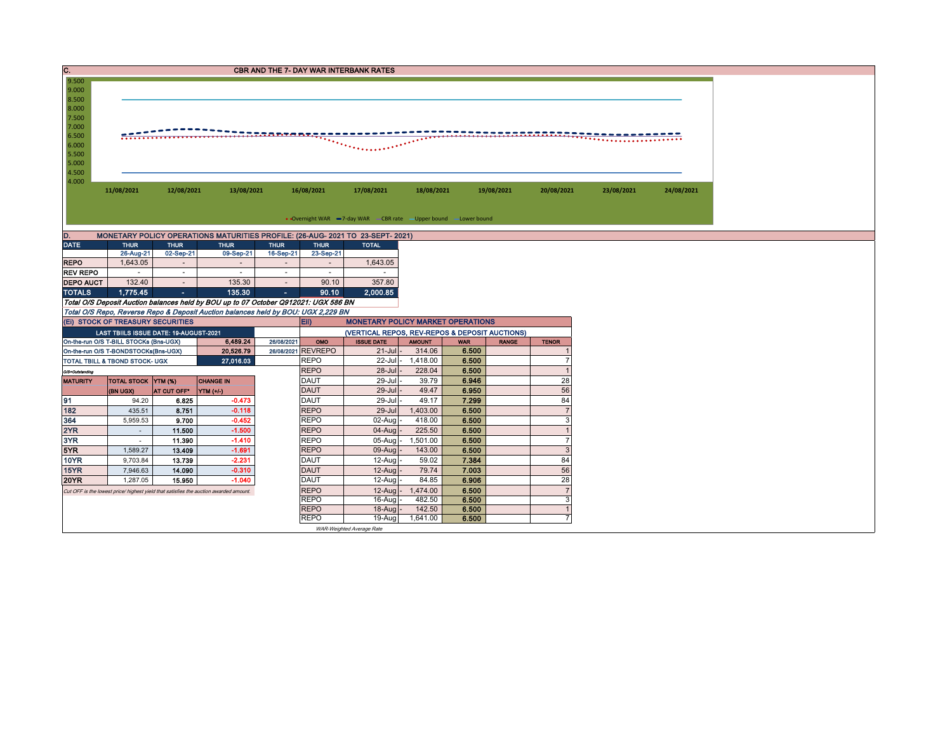| $\overline{\mathbf{c}}$ .                   | <b>CBR AND THE 7- DAY WAR INTERBANK RATES</b>                                       |                         |                                                                                       |                                    |                                                                                                                                           |                    |                   |                |            |                      |            |            |  |  |  |
|---------------------------------------------|-------------------------------------------------------------------------------------|-------------------------|---------------------------------------------------------------------------------------|------------------------------------|-------------------------------------------------------------------------------------------------------------------------------------------|--------------------|-------------------|----------------|------------|----------------------|------------|------------|--|--|--|
| 9.500<br>9.000                              |                                                                                     |                         |                                                                                       |                                    |                                                                                                                                           |                    |                   |                |            |                      |            |            |  |  |  |
| 8.500                                       |                                                                                     |                         |                                                                                       |                                    |                                                                                                                                           |                    |                   |                |            |                      |            |            |  |  |  |
| 8.000                                       |                                                                                     |                         |                                                                                       |                                    |                                                                                                                                           |                    |                   |                |            |                      |            |            |  |  |  |
| 7.500                                       |                                                                                     |                         |                                                                                       |                                    |                                                                                                                                           |                    |                   |                |            |                      |            |            |  |  |  |
| 7.000<br>6.500                              |                                                                                     | **********************  |                                                                                       |                                    |                                                                                                                                           |                    |                   |                |            |                      |            |            |  |  |  |
| 6.000                                       |                                                                                     |                         |                                                                                       |                                    |                                                                                                                                           |                    |                   |                |            |                      |            |            |  |  |  |
| 5.500                                       |                                                                                     |                         |                                                                                       |                                    |                                                                                                                                           |                    |                   |                |            |                      |            |            |  |  |  |
| 5.000<br>4.500                              |                                                                                     |                         |                                                                                       |                                    |                                                                                                                                           |                    |                   |                |            |                      |            |            |  |  |  |
| 4.000                                       |                                                                                     |                         |                                                                                       |                                    |                                                                                                                                           |                    |                   |                |            |                      |            |            |  |  |  |
|                                             | 11/08/2021                                                                          | 12/08/2021              | 13/08/2021                                                                            |                                    | 16/08/2021                                                                                                                                | 17/08/2021         | 18/08/2021        |                | 19/08/2021 | 20/08/2021           | 23/08/2021 | 24/08/2021 |  |  |  |
|                                             |                                                                                     |                         |                                                                                       |                                    |                                                                                                                                           |                    |                   |                |            |                      |            |            |  |  |  |
|                                             | • Overnight WAR -7-day WAR - CBR rate - Upper bound -Lower bound                    |                         |                                                                                       |                                    |                                                                                                                                           |                    |                   |                |            |                      |            |            |  |  |  |
| D.                                          |                                                                                     |                         | MONETARY POLICY OPERATIONS MATURITIES PROFILE: (26-AUG- 2021 TO 23-SEPT- 2021)        |                                    |                                                                                                                                           |                    |                   |                |            |                      |            |            |  |  |  |
| <b>DATE</b>                                 | <b>THUR</b>                                                                         | <b>THUR</b>             | <b>THUR</b>                                                                           | <b>THUR</b>                        | <b>THUR</b>                                                                                                                               | <b>TOTAL</b>       |                   |                |            |                      |            |            |  |  |  |
|                                             | 26-Aug-21                                                                           | 02-Sep-21               | 09-Sep-21                                                                             | 16-Sep-21                          | 23-Sep-21                                                                                                                                 |                    |                   |                |            |                      |            |            |  |  |  |
| <b>REPO</b><br><b>REV REPO</b>              | 1,643.05<br>$\sim$                                                                  | $\sim$<br>$\sim$        | $\sim$<br>$\sim$                                                                      | $\overline{\phantom{a}}$<br>$\sim$ | $\sim$<br>$\sim$                                                                                                                          | 1,643.05<br>$\sim$ |                   |                |            |                      |            |            |  |  |  |
| <b>DEPO AUCT</b>                            | 132.40                                                                              | $\sim$                  | 135.30                                                                                | $\sim$                             | 90.10                                                                                                                                     | 357.80             |                   |                |            |                      |            |            |  |  |  |
| <b>TOTALS</b>                               | 1,775.45                                                                            | $\sim$                  | 135,30                                                                                | <b>Section</b>                     | 90.10                                                                                                                                     | 2,000.85           |                   |                |            |                      |            |            |  |  |  |
|                                             | Total O/S Deposit Auction balances held by BOU up to 07 October Q912021: UGX 586 BN |                         |                                                                                       |                                    |                                                                                                                                           |                    |                   |                |            |                      |            |            |  |  |  |
|                                             |                                                                                     |                         | Total O/S Repo, Reverse Repo & Deposit Auction balances held by BOU: UGX 2,229 BN     |                                    |                                                                                                                                           |                    |                   |                |            |                      |            |            |  |  |  |
|                                             | (EI) STOCK OF TREASURY SECURITIES                                                   |                         |                                                                                       | Eii)                               | <b>MONETARY POLICY MARKET OPERATIONS</b>                                                                                                  |                    |                   |                |            |                      |            |            |  |  |  |
|                                             | LAST TBIILS ISSUE DATE: 19-AUGUST-2021<br>On-the-run O/S T-BILL STOCKs (Bns-UGX)    |                         | 6.489.24                                                                              | 26/08/2021                         | (VERTICAL REPOS, REV-REPOS & DEPOSIT AUCTIONS)<br><b>ISSUE DATE</b><br>OMO<br><b>AMOUNT</b><br><b>RANGE</b><br><b>WAR</b><br><b>TENOR</b> |                    |                   |                |            |                      |            |            |  |  |  |
|                                             | On-the-run O/S T-BONDSTOCKs(Bns-UGX)                                                |                         | 20,526.79                                                                             |                                    | 26/08/2021 REVREPO                                                                                                                        | $21 -$ Jul         | 314.06            | 6.500          |            |                      |            |            |  |  |  |
| 27,016.03<br>TOTAL TBILL & TBOND STOCK- UGX |                                                                                     |                         |                                                                                       |                                    | <b>REPO</b>                                                                                                                               | 22-Jul -           | 1,418.00          | 6.500          |            | $\overline{7}$       |            |            |  |  |  |
| O/S=Outstanding                             |                                                                                     |                         |                                                                                       |                                    | <b>REPO</b>                                                                                                                               | $28 -$ Jul         | 228.04            | 6.500          |            | $\overline{1}$       |            |            |  |  |  |
| <b>MATURITY</b>                             | <b>TOTAL STOCK YTM (%)</b>                                                          |                         | <b>CHANGE IN</b>                                                                      |                                    | <b>DAUT</b>                                                                                                                               | 29-Jul             | 39.79             | 6.946          |            | 28                   |            |            |  |  |  |
|                                             | (BN UGX)                                                                            | AT CUT OFF <sup>®</sup> | YTM (+/-)                                                                             |                                    | <b>DAUT</b>                                                                                                                               | $29 -$ Jul         | 49.47             | 6.950          |            | 56                   |            |            |  |  |  |
| 91<br>182                                   | 94.20<br>435.51                                                                     | 6.825<br>8.751          | $-0.473$<br>$-0.118$                                                                  |                                    | <b>DAUT</b><br><b>REPO</b>                                                                                                                | 29-Jul<br>29-Jul   | 49.17<br>1,403.00 | 7.299<br>6.500 |            | 84<br>$\overline{7}$ |            |            |  |  |  |
| 364                                         | 5,959.53                                                                            | 9.700                   | $-0.452$                                                                              |                                    | <b>REPO</b>                                                                                                                               | 02-Aug             | 418.00            | 6.500          |            | 3                    |            |            |  |  |  |
| 2YR                                         | $\sim$                                                                              | 11.500                  | $-1.500$                                                                              |                                    | <b>REPO</b>                                                                                                                               | 04-Aug             | 225.50            | 6.500          |            | $\overline{1}$       |            |            |  |  |  |
| 3YR                                         | $\sim$                                                                              | 11.390                  | $-1.410$                                                                              |                                    | <b>REPO</b>                                                                                                                               | 05-Aug             | 1,501.00          | 6.500          |            | $\overline{7}$       |            |            |  |  |  |
| 5YR                                         | 1,589.27                                                                            | 13.409                  | $-1.691$                                                                              |                                    | <b>REPO</b>                                                                                                                               | 09-Aug             | 143.00            | 6.500          |            | $\mathbf{3}$         |            |            |  |  |  |
| <b>10YR</b>                                 | 9,703.84                                                                            | 13.739                  | $-2.231$                                                                              |                                    | DAUT                                                                                                                                      | 12-Aug             | 59.02             | 7.384          |            | 84                   |            |            |  |  |  |
| 15YR                                        | 7,946.63                                                                            | 14.090                  | $-0.310$<br>$-1.040$                                                                  |                                    | <b>DAUT</b>                                                                                                                               | 12-Aug             | 79.74             | 7.003          |            | 56                   |            |            |  |  |  |
| <b>20YR</b>                                 | 1,287.05                                                                            | 15.950                  |                                                                                       |                                    | <b>DAUT</b><br><b>REPO</b>                                                                                                                | 12-Aug<br>12-Aug   | 84.85<br>1,474.00 | 6.906<br>6.500 |            | 28<br>$\overline{7}$ |            |            |  |  |  |
|                                             |                                                                                     |                         | Cut OFF is the lowest price/ highest yield that satisfies the auction awarded amount. |                                    | <b>REPO</b>                                                                                                                               | $16$ -Aug          | 482.50            | 6.500          |            | 3                    |            |            |  |  |  |
|                                             |                                                                                     |                         |                                                                                       |                                    | <b>REPO</b>                                                                                                                               | $18-Auq$           | 142.50            | 6.500          |            | $\mathbf{1}$         |            |            |  |  |  |
|                                             |                                                                                     |                         |                                                                                       |                                    | <b>REPO</b>                                                                                                                               | 19-Aug             | 1,641.00          | 6.500          |            | $\overline{7}$       |            |            |  |  |  |
| WAR-Weighted Average Rate                   |                                                                                     |                         |                                                                                       |                                    |                                                                                                                                           |                    |                   |                |            |                      |            |            |  |  |  |